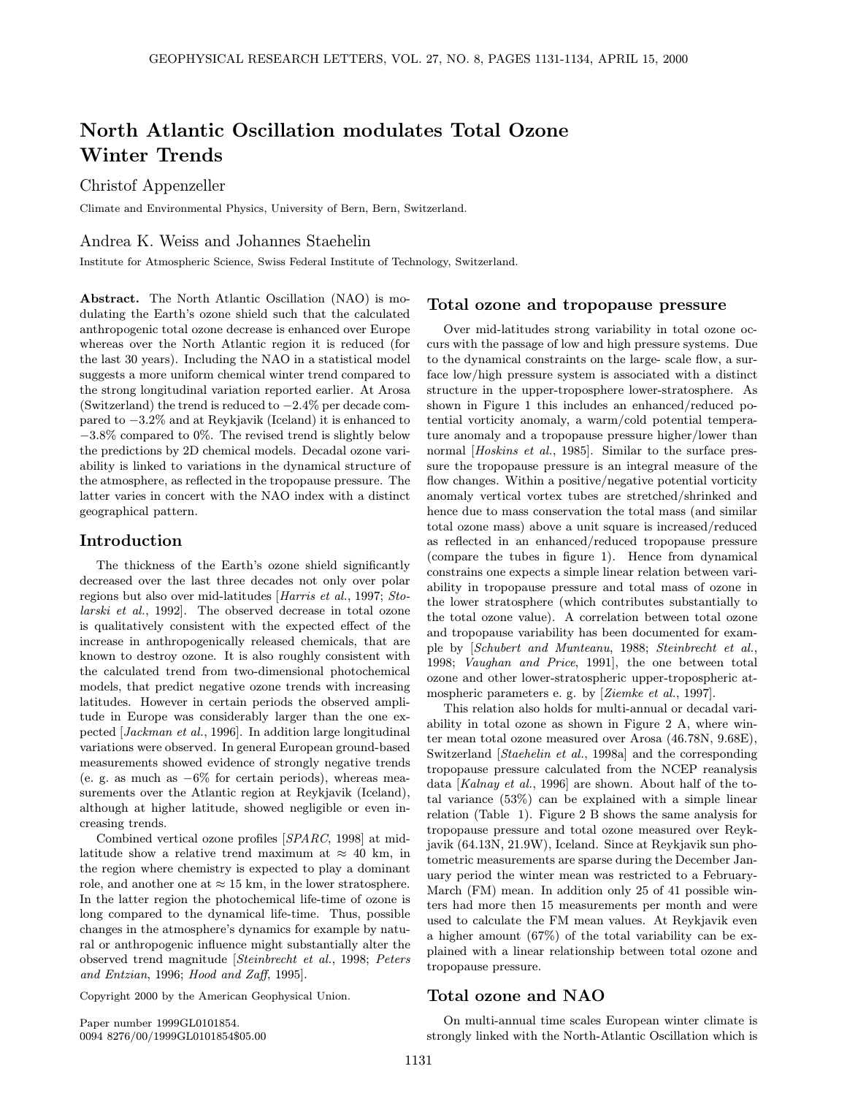# North Atlantic Oscillation modulates Total Ozone Winter Trends

Christof Appenzeller

Climate and Environmental Physics, University of Bern, Bern, Switzerland.

### Andrea K. Weiss and Johannes Staehelin

Institute for Atmospheric Science, Swiss Federal Institute of Technology, Switzerland.

Abstract. The North Atlantic Oscillation (NAO) is modulating the Earth's ozone shield such that the calculated anthropogenic total ozone decrease is enhanced over Europe whereas over the North Atlantic region it is reduced (for the last 30 years). Including the NAO in a statistical model suggests a more uniform chemical winter trend compared to the strong longitudinal variation reported earlier. At Arosa (Switzerland) the trend is reduced to −2.4% per decade compared to −3.2% and at Reykjavik (Iceland) it is enhanced to −3.8% compared to 0%. The revised trend is slightly below the predictions by 2D chemical models. Decadal ozone variability is linked to variations in the dynamical structure of the atmosphere, as reflected in the tropopause pressure. The latter varies in concert with the NAO index with a distinct geographical pattern.

#### Introduction

The thickness of the Earth's ozone shield significantly decreased over the last three decades not only over polar regions but also over mid-latitudes [Harris et al., 1997; Stolarski et al., 1992]. The observed decrease in total ozone is qualitatively consistent with the expected effect of the increase in anthropogenically released chemicals, that are known to destroy ozone. It is also roughly consistent with the calculated trend from two-dimensional photochemical models, that predict negative ozone trends with increasing latitudes. However in certain periods the observed amplitude in Europe was considerably larger than the one expected [Jackman et al., 1996]. In addition large longitudinal variations were observed. In general European ground-based measurements showed evidence of strongly negative trends (e. g. as much as  $-6\%$  for certain periods), whereas measurements over the Atlantic region at Reykjavik (Iceland), although at higher latitude, showed negligible or even increasing trends.

Combined vertical ozone profiles [SPARC, 1998] at midlatitude show a relative trend maximum at  $\approx$  40 km, in the region where chemistry is expected to play a dominant role, and another one at  $\approx 15$  km, in the lower stratosphere. In the latter region the photochemical life-time of ozone is long compared to the dynamical life-time. Thus, possible changes in the atmosphere's dynamics for example by natural or anthropogenic influence might substantially alter the observed trend magnitude [Steinbrecht et al., 1998; Peters and Entzian, 1996; Hood and Zaff, 1995].

Copyright 2000 by the American Geophysical Union.

Paper number 1999GL0101854. 0094 8276/00/1999GL0101854\$05.00

#### Total ozone and tropopause pressure

Over mid-latitudes strong variability in total ozone occurs with the passage of low and high pressure systems. Due to the dynamical constraints on the large- scale flow, a surface low/high pressure system is associated with a distinct structure in the upper-troposphere lower-stratosphere. As shown in Figure 1 this includes an enhanced/reduced potential vorticity anomaly, a warm/cold potential temperature anomaly and a tropopause pressure higher/lower than normal [Hoskins et al., 1985]. Similar to the surface pressure the tropopause pressure is an integral measure of the flow changes. Within a positive/negative potential vorticity anomaly vertical vortex tubes are stretched/shrinked and hence due to mass conservation the total mass (and similar total ozone mass) above a unit square is increased/reduced as reflected in an enhanced/reduced tropopause pressure (compare the tubes in figure 1). Hence from dynamical constrains one expects a simple linear relation between variability in tropopause pressure and total mass of ozone in the lower stratosphere (which contributes substantially to the total ozone value). A correlation between total ozone and tropopause variability has been documented for example by [Schubert and Munteanu, 1988; Steinbrecht et al., 1998; Vaughan and Price, 1991], the one between total ozone and other lower-stratospheric upper-tropospheric atmospheric parameters e. g. by [Ziemke et al., 1997].

This relation also holds for multi-annual or decadal variability in total ozone as shown in Figure 2 A, where winter mean total ozone measured over Arosa (46.78N, 9.68E), Switzerland [Staehelin et al., 1998a] and the corresponding tropopause pressure calculated from the NCEP reanalysis data [Kalnay et al., 1996] are shown. About half of the total variance (53%) can be explained with a simple linear relation (Table 1). Figure 2 B shows the same analysis for tropopause pressure and total ozone measured over Reykjavik (64.13N, 21.9W), Iceland. Since at Reykjavik sun photometric measurements are sparse during the December January period the winter mean was restricted to a February-March (FM) mean. In addition only 25 of 41 possible winters had more then 15 measurements per month and were used to calculate the FM mean values. At Reykjavik even a higher amount (67%) of the total variability can be explained with a linear relationship between total ozone and tropopause pressure.

### Total ozone and NAO

On multi-annual time scales European winter climate is strongly linked with the North-Atlantic Oscillation which is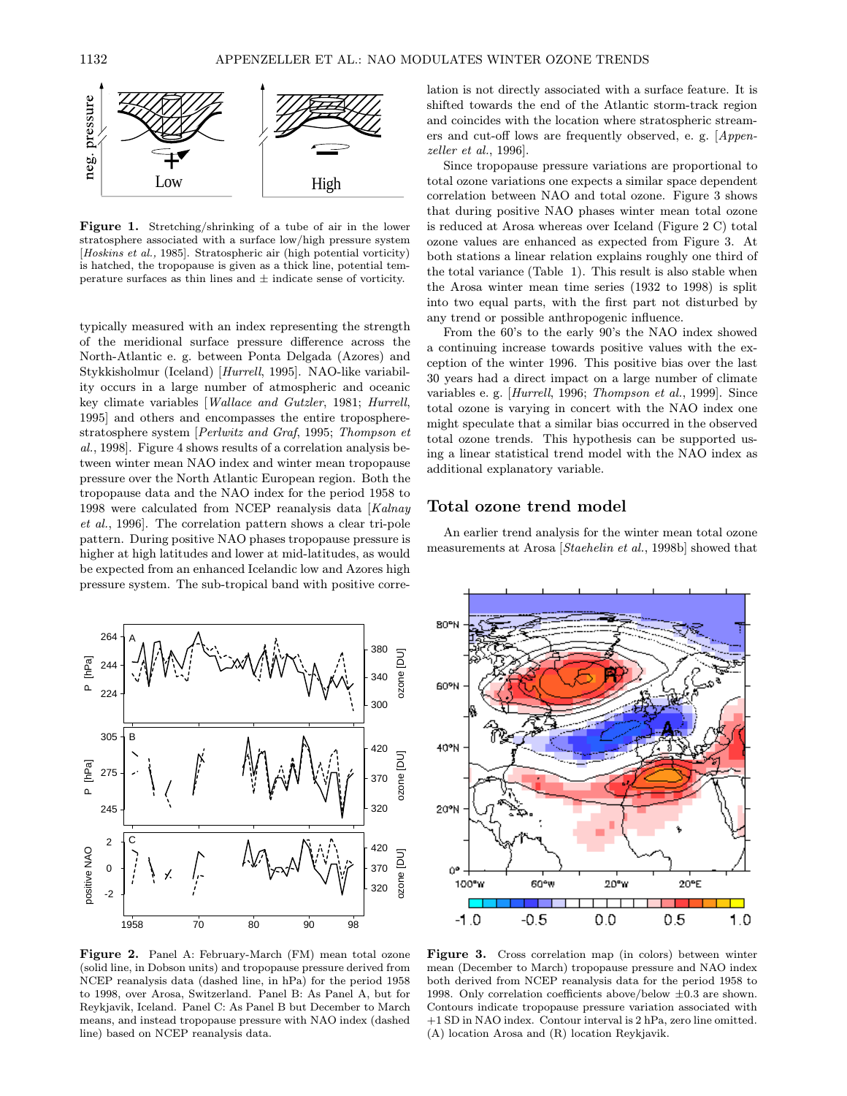

Figure 1. Stretching/shrinking of a tube of air in the lower stratosphere associated with a surface low/high pressure system [Hoskins et al., 1985]. Stratospheric air (high potential vorticity) is hatched, the tropopause is given as a thick line, potential temperature surfaces as thin lines and  $\pm$  indicate sense of vorticity.

typically measured with an index representing the strength of the meridional surface pressure difference across the North-Atlantic e. g. between Ponta Delgada (Azores) and Stykkisholmur (Iceland) [Hurrell, 1995]. NAO-like variability occurs in a large number of atmospheric and oceanic key climate variables [Wallace and Gutzler, 1981; Hurrell, 1995] and others and encompasses the entire tropospherestratosphere system [Perlwitz and Graf, 1995; Thompson et al., 1998]. Figure 4 shows results of a correlation analysis between winter mean NAO index and winter mean tropopause pressure over the North Atlantic European region. Both the tropopause data and the NAO index for the period 1958 to 1998 were calculated from NCEP reanalysis data [Kalnay et al., 1996]. The correlation pattern shows a clear tri-pole pattern. During positive NAO phases tropopause pressure is higher at high latitudes and lower at mid-latitudes, as would be expected from an enhanced Icelandic low and Azores high pressure system. The sub-tropical band with positive corre-



Figure 2. Panel A: February-March (FM) mean total ozone (solid line, in Dobson units) and tropopause pressure derived from NCEP reanalysis data (dashed line, in hPa) for the period 1958 to 1998, over Arosa, Switzerland. Panel B: As Panel A, but for Reykjavik, Iceland. Panel C: As Panel B but December to March means, and instead tropopause pressure with NAO index (dashed line) based on NCEP reanalysis data.

lation is not directly associated with a surface feature. It is shifted towards the end of the Atlantic storm-track region and coincides with the location where stratospheric streamers and cut-off lows are frequently observed, e. g. [Appenzeller et al., 1996].

Since tropopause pressure variations are proportional to total ozone variations one expects a similar space dependent correlation between NAO and total ozone. Figure 3 shows that during positive NAO phases winter mean total ozone is reduced at Arosa whereas over Iceland (Figure 2 C) total ozone values are enhanced as expected from Figure 3. At both stations a linear relation explains roughly one third of the total variance (Table 1). This result is also stable when the Arosa winter mean time series (1932 to 1998) is split into two equal parts, with the first part not disturbed by any trend or possible anthropogenic influence.

From the 60's to the early 90's the NAO index showed a continuing increase towards positive values with the exception of the winter 1996. This positive bias over the last 30 years had a direct impact on a large number of climate variables e. g. [Hurrell, 1996; Thompson et al., 1999]. Since total ozone is varying in concert with the NAO index one might speculate that a similar bias occurred in the observed total ozone trends. This hypothesis can be supported using a linear statistical trend model with the NAO index as additional explanatory variable.

## Total ozone trend model

An earlier trend analysis for the winter mean total ozone measurements at Arosa [Staehelin et al., 1998b] showed that



Figure 3. Cross correlation map (in colors) between winter mean (December to March) tropopause pressure and NAO index both derived from NCEP reanalysis data for the period 1958 to 1998. Only correlation coefficients above/below  $\pm 0.3$  are shown. Contours indicate tropopause pressure variation associated with +1 SD in NAO index. Contour interval is 2 hPa, zero line omitted. (A) location Arosa and (R) location Reykjavik.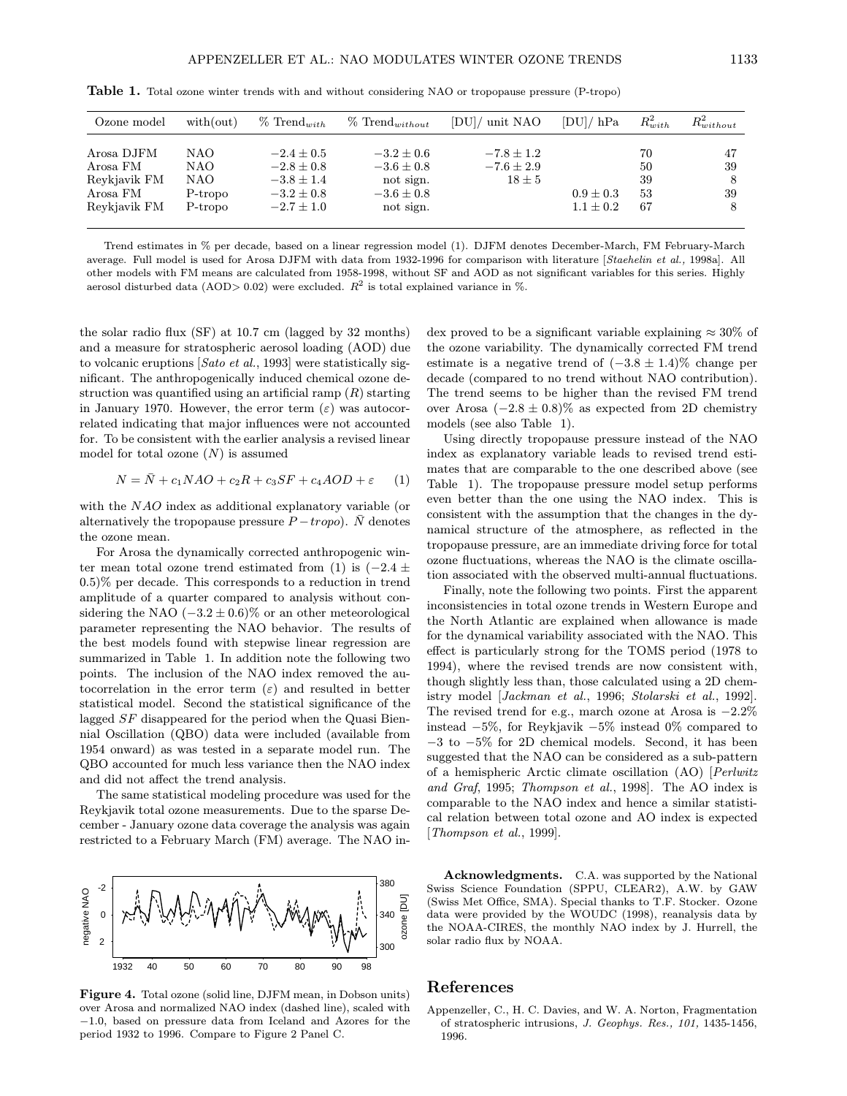| Ozone model                                                        | with(out)                                 | $\%$ Trend <sub>with</sub>                                                             | $\%$ Trend <sub><i>without</i></sub>                                       | [DU]/ unit NAO                                 | $[DU]/$ hPa                    | $R_{with}^2$                | $R_{without}^2$     |
|--------------------------------------------------------------------|-------------------------------------------|----------------------------------------------------------------------------------------|----------------------------------------------------------------------------|------------------------------------------------|--------------------------------|-----------------------------|---------------------|
| Arosa DJFM<br>Arosa FM<br>Reykjavik FM<br>Arosa FM<br>Revkjavik FM | NAO<br>NAO.<br>NAO.<br>P-tropo<br>P-tropo | $-2.4 \pm 0.5$<br>$-2.8 \pm 0.8$<br>$-3.8 \pm 1.4$<br>$-3.2 \pm 0.8$<br>$-2.7 \pm 1.0$ | $-3.2 + 0.6$<br>$-3.6 \pm 0.8$<br>not sign.<br>$-3.6 \pm 0.8$<br>not sign. | $-7.8 \pm 1.2$<br>$-7.6 \pm 2.9$<br>$18 \pm 5$ | $0.9 \pm 0.3$<br>$1.1 \pm 0.2$ | 70<br>50<br>39<br>53<br>-67 | 47<br>39<br>39<br>8 |

Table 1. Total ozone winter trends with and without considering NAO or tropopause pressure (P-tropo)

Trend estimates in % per decade, based on a linear regression model (1). DJFM denotes December-March, FM February-March average. Full model is used for Arosa DJFM with data from 1932-1996 for comparison with literature [Staehelin et al., 1998a]. All other models with FM means are calculated from 1958-1998, without SF and AOD as not significant variables for this series. Highly aerosol disturbed data (AOD> 0.02) were excluded.  $R^2$  is total explained variance in %.

the solar radio flux (SF) at 10.7 cm (lagged by 32 months) and a measure for stratospheric aerosol loading (AOD) due to volcanic eruptions [Sato et al., 1993] were statistically significant. The anthropogenically induced chemical ozone destruction was quantified using an artificial ramp  $(R)$  starting in January 1970. However, the error term  $(\varepsilon)$  was autocorrelated indicating that major influences were not accounted for. To be consistent with the earlier analysis a revised linear model for total ozone  $(N)$  is assumed

$$
N = \bar{N} + c_1 NAO + c_2 R + c_3 SF + c_4 AOD + \varepsilon \tag{1}
$$

with the NAO index as additional explanatory variable (or alternatively the tropopause pressure  $P - tropo$ .  $\overline{N}$  denotes the ozone mean.

For Arosa the dynamically corrected anthropogenic winter mean total ozone trend estimated from (1) is  $(-2.4 \pm 1)$ 0.5)% per decade. This corresponds to a reduction in trend amplitude of a quarter compared to analysis without considering the NAO  $(-3.2 \pm 0.6)\%$  or an other meteorological parameter representing the NAO behavior. The results of the best models found with stepwise linear regression are summarized in Table 1. In addition note the following two points. The inclusion of the NAO index removed the autocorrelation in the error term  $(\varepsilon)$  and resulted in better statistical model. Second the statistical significance of the lagged SF disappeared for the period when the Quasi Biennial Oscillation (QBO) data were included (available from 1954 onward) as was tested in a separate model run. The QBO accounted for much less variance then the NAO index and did not affect the trend analysis.

The same statistical modeling procedure was used for the Reykjavik total ozone measurements. Due to the sparse December - January ozone data coverage the analysis was again restricted to a February March (FM) average. The NAO in-



Figure 4. Total ozone (solid line, DJFM mean, in Dobson units) over Arosa and normalized NAO index (dashed line), scaled with −1.0, based on pressure data from Iceland and Azores for the period 1932 to 1996. Compare to Figure 2 Panel C.

dex proved to be a significant variable explaining  $\approx 30\%$  of the ozone variability. The dynamically corrected FM trend estimate is a negative trend of  $(-3.8 \pm 1.4)\%$  change per decade (compared to no trend without NAO contribution). The trend seems to be higher than the revised FM trend over Arosa  $(-2.8 \pm 0.8)\%$  as expected from 2D chemistry models (see also Table 1).

Using directly tropopause pressure instead of the NAO index as explanatory variable leads to revised trend estimates that are comparable to the one described above (see Table 1). The tropopause pressure model setup performs even better than the one using the NAO index. This is consistent with the assumption that the changes in the dynamical structure of the atmosphere, as reflected in the tropopause pressure, are an immediate driving force for total ozone fluctuations, whereas the NAO is the climate oscillation associated with the observed multi-annual fluctuations.

Finally, note the following two points. First the apparent inconsistencies in total ozone trends in Western Europe and the North Atlantic are explained when allowance is made for the dynamical variability associated with the NAO. This effect is particularly strong for the TOMS period (1978 to 1994), where the revised trends are now consistent with, though slightly less than, those calculated using a 2D chemistry model [Jackman et al., 1996; Stolarski et al., 1992]. The revised trend for e.g., march ozone at Arosa is −2.2% instead −5%, for Reykjavik −5% instead 0% compared to −3 to −5% for 2D chemical models. Second, it has been suggested that the NAO can be considered as a sub-pattern of a hemispheric Arctic climate oscillation (AO) [Perlwitz and Graf, 1995; Thompson et al., 1998]. The AO index is comparable to the NAO index and hence a similar statistical relation between total ozone and AO index is expected [Thompson et al., 1999].

Acknowledgments. C.A. was supported by the National Swiss Science Foundation (SPPU, CLEAR2), A.W. by GAW (Swiss Met Office, SMA). Special thanks to T.F. Stocker. Ozone data were provided by the WOUDC (1998), reanalysis data by the NOAA-CIRES, the monthly NAO index by J. Hurrell, the solar radio flux by NOAA.

#### References

Appenzeller, C., H. C. Davies, and W. A. Norton, Fragmentation of stratospheric intrusions, J. Geophys. Res., 101, 1435-1456, 1996.